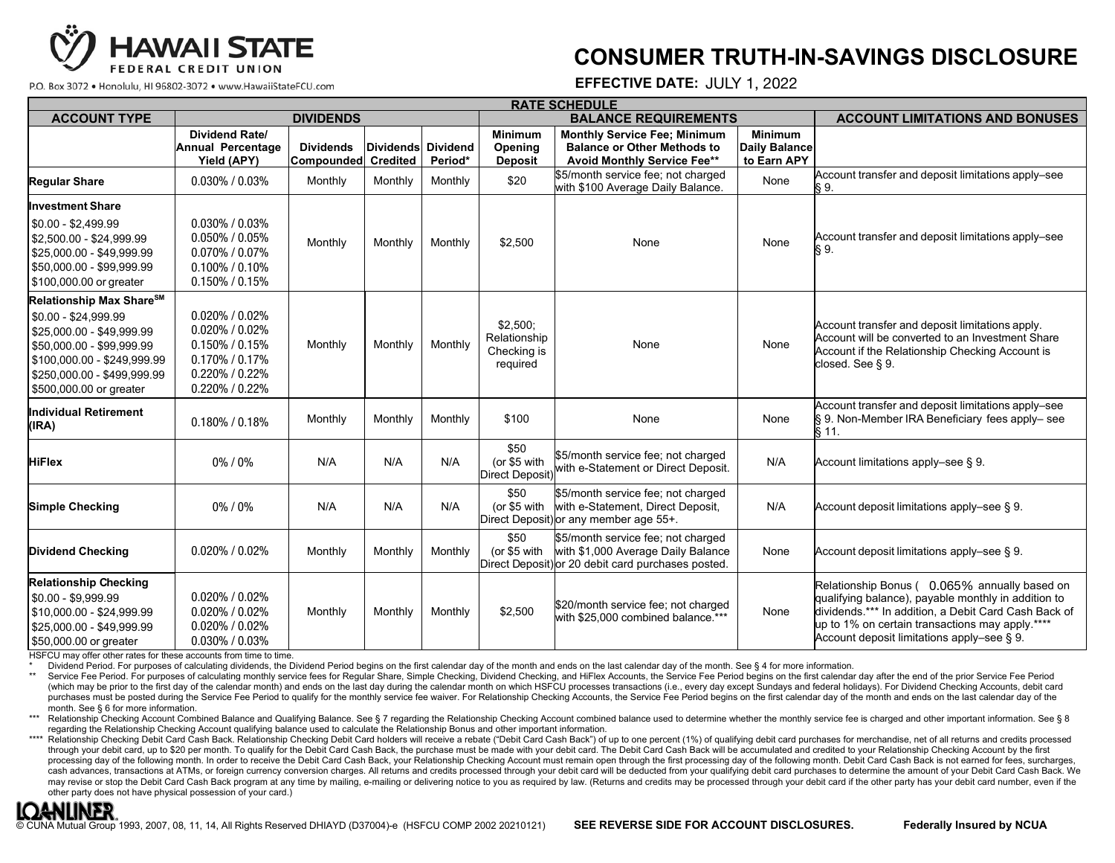

## **CONSUMER TRUTH-IN-SAVINGS DISCLOSURE**

P.O. Box 3072 . Honolulu, HI 96802-3072 . www.HawaiiStateFCU.com

## **EFFECTIVE DATE:** JULY 1, 2022<br>EDULE

| <b>RATE SCHEDULE</b>                                                                                                                                                                                                  |                                                                                                                                        |                                         |                    |         |                                                       |                                                                                                                                |                                                       |                                                                                                                                                                                                                                                              |
|-----------------------------------------------------------------------------------------------------------------------------------------------------------------------------------------------------------------------|----------------------------------------------------------------------------------------------------------------------------------------|-----------------------------------------|--------------------|---------|-------------------------------------------------------|--------------------------------------------------------------------------------------------------------------------------------|-------------------------------------------------------|--------------------------------------------------------------------------------------------------------------------------------------------------------------------------------------------------------------------------------------------------------------|
| <b>ACCOUNT TYPE</b>                                                                                                                                                                                                   | <b>DIVIDENDS</b>                                                                                                                       |                                         |                    |         | <b>BALANCE REQUIREMENTS</b>                           |                                                                                                                                |                                                       | <b>ACCOUNT LIMITATIONS AND BONUSES</b>                                                                                                                                                                                                                       |
|                                                                                                                                                                                                                       | <b>Dividend Rate/</b><br>Annual Percentage<br>Yield (APY)                                                                              | <b>Dividends</b><br>Compounded Credited | Dividends Dividend | Period* | <b>Minimum</b><br>Opening<br><b>Deposit</b>           | <b>Monthly Service Fee: Minimum</b><br><b>Balance or Other Methods to</b><br><b>Avoid Monthly Service Fee**</b>                | <b>Minimum</b><br><b>Daily Balance</b><br>to Earn APY |                                                                                                                                                                                                                                                              |
| <b>Regular Share</b>                                                                                                                                                                                                  | $0.030\%$ / $0.03\%$                                                                                                                   | Monthly                                 | Monthly            | Monthly | \$20                                                  | \$5/month service fee; not charged<br>with \$100 Average Daily Balance.                                                        | None                                                  | Account transfer and deposit limitations apply-see<br>S 9.                                                                                                                                                                                                   |
| Investment Share                                                                                                                                                                                                      | $0.030\%$ / $0.03\%$                                                                                                                   |                                         |                    |         |                                                       |                                                                                                                                |                                                       |                                                                                                                                                                                                                                                              |
| $$0.00 - $2,499.99$<br>\$2,500.00 - \$24,999.99<br>\$25,000.00 - \$49,999.99<br>\$50,000.00 - \$99,999.99<br>\$100,000.00 or greater                                                                                  | $0.050\%$ / $0.05\%$<br>$0.070\%$ / $0.07\%$<br>$0.100\%$ / $0.10\%$<br>$0.150\%$ / $0.15\%$                                           | Monthly                                 | Monthly            | Monthly | \$2,500                                               | None                                                                                                                           | None                                                  | Account transfer and deposit limitations apply-see<br>§9.                                                                                                                                                                                                    |
| <b>Relationship Max Share<sup>SM</sup></b><br>\$0.00 - \$24,999.99<br>\$25,000.00 - \$49,999.99<br>\$50,000.00 - \$99,999.99<br>\$100,000.00 - \$249,999.99<br>\$250,000.00 - \$499,999.99<br>\$500,000.00 or greater | $0.020\%$ / $0.02\%$<br>$0.020\%$ / $0.02\%$<br>$0.150\%$ / $0.15\%$<br>$0.170\%$ / $0.17\%$<br>$0.220\%$ / $0.22\%$<br>0.220% / 0.22% | Monthly                                 | Monthly            | Monthly | $$2,500$ ;<br>Relationship<br>Checking is<br>required | None                                                                                                                           | None                                                  | Account transfer and deposit limitations apply.<br>Account will be converted to an Investment Share<br>Account if the Relationship Checking Account is<br>closed. See § 9.                                                                                   |
| <b>Individual Retirement</b><br>(IRA)                                                                                                                                                                                 | $0.180\%$ / $0.18\%$                                                                                                                   | Monthly                                 | Monthly            | Monthly | \$100                                                 | None                                                                                                                           | None                                                  | Account transfer and deposit limitations apply-see<br>§ 9. Non-Member IRA Beneficiary fees apply-see<br>§ 11.                                                                                                                                                |
| <b>HiFlex</b>                                                                                                                                                                                                         | 0%/0%                                                                                                                                  | N/A                                     | N/A                | N/A     | \$50<br>(or \$5 with<br>Direct Deposit)               | \$5/month service fee; not charged<br>with e-Statement or Direct Deposit.                                                      | N/A                                                   | Account limitations apply-see § 9.                                                                                                                                                                                                                           |
| <b>Simple Checking</b>                                                                                                                                                                                                | 0%/0%                                                                                                                                  | N/A                                     | N/A                | N/A     | \$50<br>(or \$5 with                                  | \$5/month service fee; not charged<br>with e-Statement, Direct Deposit,<br>Direct Deposit) or any member age 55+.              | N/A                                                   | Account deposit limitations apply-see § 9.                                                                                                                                                                                                                   |
| <b>Dividend Checking</b>                                                                                                                                                                                              | $0.020\%$ / $0.02\%$                                                                                                                   | Monthly                                 | Monthly            | Monthly | \$50<br>(or \$5 with                                  | \$5/month service fee; not charged<br>with \$1,000 Average Daily Balance<br>Direct Deposit) or 20 debit card purchases posted. | None                                                  | Account deposit limitations apply-see § 9.                                                                                                                                                                                                                   |
| <b>Relationship Checking</b><br>\$0.00 - \$9,999.99<br>\$10,000.00 - \$24,999.99<br>\$25,000.00 - \$49,999.99<br>\$50,000.00 or greater<br>HSFCU may offer other rates for these accounts from time to time.          | $0.020\%$ / $0.02\%$<br>$0.020\%$ / $0.02\%$<br>$0.020\%$ / $0.02\%$<br>0.030% / 0.03%                                                 | Monthly                                 | Monthly            | Monthly | \$2,500                                               | \$20/month service fee; not charged<br>with \$25,000 combined balance.***                                                      | None                                                  | Relationship Bonus (0.065% annually based on<br>qualifying balance), payable monthly in addition to<br>dividends.*** In addition, a Debit Card Cash Back of<br>up to 1% on certain transactions may apply.****<br>Account deposit limitations apply-see § 9. |

\$50,000.00 or greater and these accounts from time to time.

\* Dividend Period. For purposes of calculating dividends, the Dividend Period begins on the first calendar day of the month and ends on the last calendar day of the month. See § 4 for more information. \$25,000.00 - \$49,999.99 0.100% / 0.10%  $sum of  $\frac{1}{\sqrt{2}}$$ 

Enviscitation Choice For purposes of calculating annumbly service fees for Regular Share, Simple Checking, Dividend Checking, and HiFlex Accounts, the Service Fee Period begins on the first calendar day after the end of th (which may be prior to the first day of the calendar month) and ends on the last day during the calendar month on which HSFCU processes transactions (i.e., every day except Sundays and federal holidays). For Dividend Check purchases must be posted during the Service Fee Period to qualify for the monthly service fee waiver. For Relationship Checking Accounts, the Service Fee Period begins on the first calendar day of the month and ends on the month. See § 6 for more information.

montri. See § 6 for more information.<br>\*\*\* Relationship Checking Account Combined Balance and Qualifying Balance. See § 7 regarding the Relationship Checking Account combined balance used to determine whether the monthly se regarding the Relationship Checking Account qualifying balance used to calculate the Relationship Bonus and other important information.

regarding the Relationship Checking Account qualitying balance used to calculate the Relationship Bonus and other important information.<br>\*\*\*\* Relationship Checking Debit Card Cash Back. Relationship Checking Debit Card hol through your debit card, up to \$20 per month. To qualify for the Debit Card Cash Back, the purchase must be made with your debit card. The Debit Card Cash Back will be accumulated and credited to your Relationship Checking processing day of the following month. In order to receive the Debit Card Cash Back, your Relationship Checking Account must remain open through the first processing day of the following month. Debit Card Cash Back is not cash advances, transactions at ATMs, or foreign currency conversion charges. All returns and credits processed through your debit card will be deducted from your qualifying debit card purchases to determine the amount of y may revise or stop the Debit Card Cash Back program at any time by mailing, e-mailing or delivering notice to you as required by law. (Returns and credits may be processed through your debit card if the other party has you other party does not have physical possession of your card.)